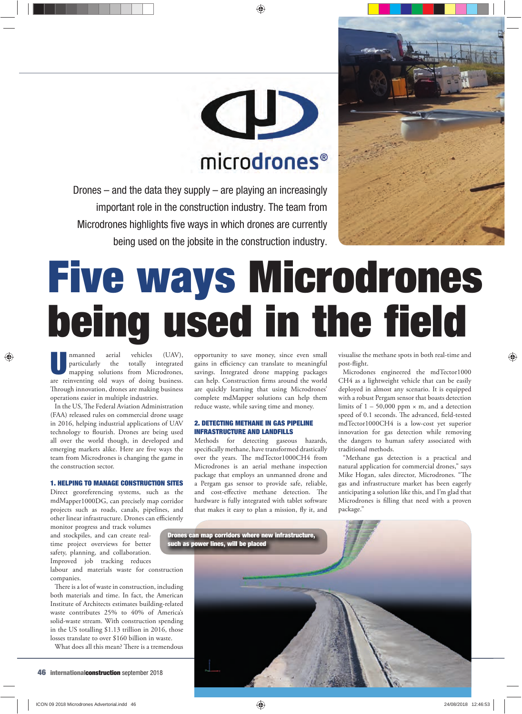

## CD microdrones<sup>®</sup>

Drones – and the data they supply – are playing an increasingly important role in the construction industry. The team from Microdrones highlights five ways in which drones are currently being used on the jobsite in the construction industry.

# **Five ways Microdrones being used in the field**

Inmanned aerial vehicles (UAV),<br>
particularly the totally integrated<br>
mapping solutions from Microdrones,<br>
are reinventing old way of doing business. particularly the totally integrated are reinventing old ways of doing business. Through innovation, drones are making business operations easier in multiple industries.

In the US, The Federal Aviation Administration (FAA) released rules on commercial drone usage in 2016, helping industrial applications of UAV technology to flourish. Drones are being used all over the world though, in developed and emerging markets alike. Here are five ways the team from Microdrones is changing the game in the construction sector.

#### **1. HELPING TO MANAGE CONSTRUCTION SITES**

Direct georeferencing systems, such as the mdMapper1000DG, can precisely map corridor projects such as roads, canals, pipelines, and other linear infrastructure. Drones can efficiently

monitor progress and track volumes and stockpiles, and can create realtime project overviews for better safety, planning, and collaboration. Improved job tracking reduces

labour and materials waste for construction companies.

There is a lot of waste in construction, including both materials and time. In fact, the American Institute of Architects estimates building-related waste contributes 25% to 40% of America's solid-waste stream. With construction spending in the US totalling \$1.13 trillion in 2016, those losses translate to over \$160 billion in waste.

What does all this mean? There is a tremendous

opportunity to save money, since even small gains in efficiency can translate to meaningful savings. Integrated drone mapping packages can help. Construction firms around the world are quickly learning that using Microdrones' complete mdMapper solutions can help them reduce waste, while saving time and money.

#### **2. DETECTING METHANE IN GAS PIPELINE INFRASTRUCTURE AND LANDFILLS**

Methods for detecting gaseous hazards, specifically methane, have transformed drastically over the years. The mdTector1000CH4 from Microdrones is an aerial methane inspection package that employs an unmanned drone and a Pergam gas sensor to provide safe, reliable, and cost-effective methane detection. The hardware is fully integrated with tablet software that makes it easy to plan a mission, fly it, and

visualise the methane spots in both real-time and post-flight.

Microdones engineered the mdTector1000 CH4 as a lightweight vehicle that can be easily deployed in almost any scenario. It is equipped with a robust Pergam sensor that boasts detection limits of  $1 - 50,000$  ppm  $\times$  m, and a detection speed of 0.1 seconds. The advanced, field-tested mdTector1000CH4 is a low-cost yet superior innovation for gas detection while removing the dangers to human safety associated with traditional methods.

"Methane gas detection is a practical and natural application for commercial drones," says Mike Hogan, sales director, Microdrones. "The gas and infrastructure market has been eagerly anticipating a solution like this, and I'm glad that Microdrones is filling that need with a proven package."